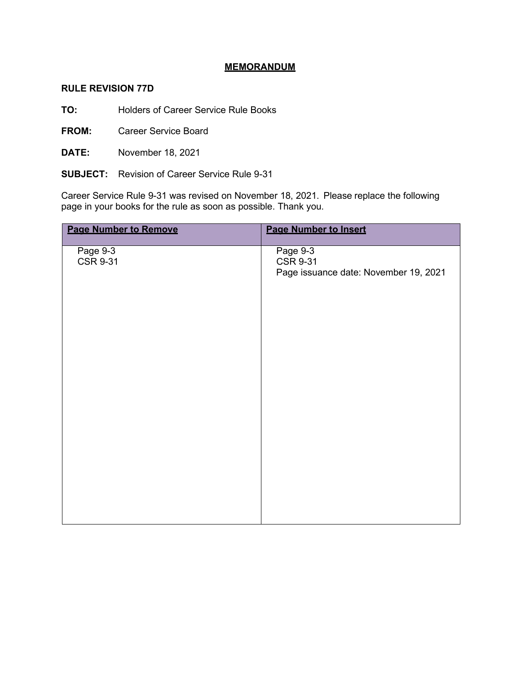## **MEMORANDUM**

## **RULE REVISION 77D**

**TO:** Holders of Career Service Rule Books

**FROM:** Career Service Board

**DATE:** November 18, 2021

**SUBJECT:** Revision of Career Service Rule 9-31

Career Service Rule 9-31 was revised on November 18, 2021. Please replace the following page in your books for the rule as soon as possible. Thank you.

| <b>Page Number to Remove</b> | <b>Page Number to Insert</b>                                         |
|------------------------------|----------------------------------------------------------------------|
| Page 9-3<br><b>CSR 9-31</b>  | Page 9-3<br><b>CSR 9-31</b><br>Page issuance date: November 19, 2021 |
|                              |                                                                      |